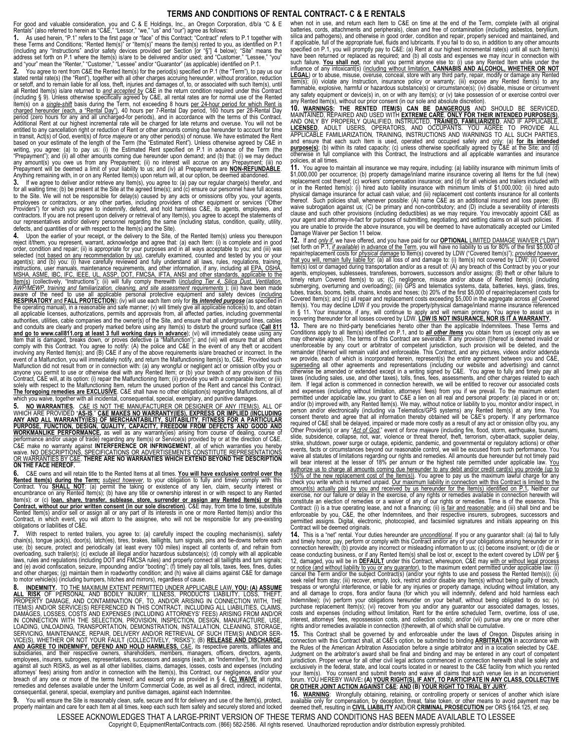## **TERMS AND CONDITIONS OF RENTAL CONTRACT- C & E RENTALS**

For good and valuable consideration, you and C & E Holdings, Inc., an Oregon Corporation, d/b/a "C & E<br>Rentals" (also referred to herein as "C&E," "Lessor," "we," "us" and "our") agree as follows:<br>**1.** As used herein, "

these Terms and Conditions; "Rented Item(s)" or "Item(s)" means the item(s) rented to you, as identified on P.1 (including any "Instructions" and/or safety devices provided per Section [or "§"] 4 below); "Site" means the<br>address set forth on P.1 where the Item(s) is/are to be delivered and/or used; and "Customer," "Lessee," "you"<br>an

**2.** You agree to rent from C&E the Rented Item(s) for the period(s) specified on P.1 (the "Term"), to pay us our stated rental rate(s) (the "Rent"), together with all other charges accruing hereunder, without proration, reduction<br>or setoff, and to remain liable for all loss, theft, injuries and damages of, to, or associated with such all Rented Item(s) is/are returned to <u>and accep*ted by*</u> C&E in the return condition required under this Contract<br>(including § 9). Unless otherwise specifically agreed by C&E, all rental rates are for normal use of the Re <u>charged hereunder (each, a "Rental Day")</u>, 40 hours per 7-Rental Day period, 160 hours per 28-Rental Day<br>period (zero hours for any and all uncharged-for periods), and in accordance with the terms of this Contract.<br>Additi entitled to any cancellation right or reduction of Rent or other amounts coming due hereunder to account for time in transit, Act(s) of God, event(s) of *force majeure* or any other period(s) of nonuse. We have estimated the Rent<br>based on your estimate of the length of the Term (the "Estimated Rent"). Unless othewise agreed by C&E in<br> any amount(s) you owe us from any Prepayment; (ii) no interest will accrue on any Prepayment; (iii) no<br>Prepayment will be deemed a limit of your liability to us; and (iv) all Prepayments are <mark>NON-REFUNDABLE</mark>.<br>Anything rema

**3.** If we agree to deliver and/or retrieve any Item(s), you agree to: (a) pay our regular charge(s) therefor, and for all waiting time; (b) be present at the Site at the agreed time(s); and (c) ensure our personnel have full access<br>to the Site. We will not be responsible for delay(s) caused by any acts or omissions of/by you, your age Providers") for which you agree to indemnify, defend, and hold harmless C&E, its agents, employees, and contractors. If you are not present upon delivery or retrieval of any Item(s), you agree to accept the statements of our representatives and/or delivery personnel regarding the same (including status, condition, quality, utility,

defects, and quantities of or with respect to the Item(s) and the Site). **4.** Upon the earlier of your receipt, or the delivery to the Site, of the Rented Item(s) unless you thereupon reject it/them, you represent, warrant, acknowledge and agree that: (a) each Item: (i) is complete and in good order, condition and repair; (ii) is appropriate for your purposes and in all ways acceptable to you; and (iii) was<br>selected (<u>not based on any recommendation by us)</u>, carefully examined, counted and tested by you or your<br> instructions, user manuals, maintenance requirements, and other information, if any, including all <u>EPA, OSHA,</u><br>MSHA, ASME. IBC. IFC. IEEE. UL. ASSP. DOT, FMCSA, IFTA, ANSI and other standards. applicable to the<br><u>Item(s)</u> authorities, utilities, cable companies and the owner(s) of the Site, and ensure that all underground lines, cables<br>and conduits are clearly and properly marked before using any Item(s) to disturb the ground surface (<u>Call</u> Item that is damaged, breaks down, or proves defective (a "Malfunction"); and (vii) will ensure that all others<br>comply with this Contract. You agree to notify: (A) the police and C&E in the event of any theft or accident<br>i **The foregoing remedies are EXCLUSIVE**. C&E shall have no other obligation(s) regarding Malfunctions, all of which you waive, together with all incidental, consequential, special, exemplary, and punitive damages.

5. N<u>O WARRANTIES</u>. <u>C&E IS NOT THE MANUFACTURER OR DESIGNER OF ANY ITEM(S)</u>, ALL OF<br>WHICH ARE PROVIDED "AS-IS." C&**E MAKES NO WARRANTY(IES), EXPRESS OR IMPLIED (INCLUDING**<br>ANY AND ALL WARRANTY(IES) OF MERCHANTABILITY, SUI **WORKMANLIKE PERFORMANCE,** as well as any warranty(ies) arising from course of dealing, course of performance and/or usage of trade) regarding any Item(s) or Service(s) provided by or at the direction of C&E. C&E make no warranty against I**NTERFERENCE OR INFRINGEMENT**, all of which warranties you hereby<br>waive. <u>NO DESCRIPTIONS, SPECIFICATIONS OR ADVERTISEMENTS CONSTITUTE REPRESENTATIONS</u><br>OR WARRANTIES BY C&E. THERE ARE NO WARRA

**6.** C&E owns and will retain title to the Rented Items at all times. **You will have exclusive control over the Rented Item(s) during the Term;** *subject however*, to your obligation to fully and timely comply with this Contract. You SHALL NOT: (a) permit the taking or existence of any lends contract. You Scharle Contract or contra **Contract, without our prior written consent (in our sole discretion)**. C&E may, from time to time, substitute Rented Item(s) and/or sell or assign all or any part of its interests in one or more Rented Item(s) and/or this<br>Contract, in which event, you will attorn to the assignee, who will not be responsible for any pre-existing<br>ob

**7.** With respect to rented trailers, you agree to: (a) carefully inspect the coupling mechanism(s), safety chain(s), tongue jack(s), door(s), latch(es), tires, brakes, taillights, turn signals, pins and tie-downs before each<br>use; (b) secure, protect and periodically (at least every 100 miles) inspect all contents of, and refrai to motor vehicle(s) (including bumpers, hitches and mirrors), regardless of cause.

**8. INDEMNITY.** T<u>O THE MAXIMUM EXTENT PERMITTED UNDER APPLICABLE LAW, **YOU: (A) ASSUME**<br><mark>ALL RISK</mark> OF PERSONAL AND BODILY INJURY, ILLNESS, PRODUCTS LIABILITY, LOSS, THEFT,<br>PROPERTY DAMAGE, AND CONTAMINATION OF, TO, AND/OR</u> IN CONNECTION WITH THE SELECTION, PROVISION, INSPECTION, DESIGN, MANUFACTURE, USE, LOADING, UNLOADING, TRANSPORTATION, DEMONSTRATION, INSTALLATION, CLEANING, STORAGE,<br>SERVICING, MAINTENANCE, REPAIR, DELIVERY AND/OR RETRIEVAL OF SUCH ITEM(S) AND/OR SER-<br>VICE(S), WHETHER OR NOT YOUR FAULT (COLLECTIVELY, "R subsidiaries, and their respective owners, shareholders, members, managers, officers, directors, agents, employees, insurers, subrogees, representatives, successors and assigns (each, an "Indemnitee"), for, from and against all such RISKS, as well as all other liabilities, claims, damages, losses, costs and expenses (including<br>attorneys' fees) arising from and/or in connection with the Item(s), this Contract, our negligence, and/or yo consequential, general, special, exemplary and punitive damages, against each Indemnitee.<br>
9. You will ensure the Site is reasonably clean, safe, secure and fit for delivery and use of the Item(s), protect,

properly maintain and care for each Item at all times, keep each such Item safely and securely stored and locked

when not in use, and return each Item to C&E on time at the end of the Term, complete (with all original batteries, cords, attachments and peripherals), clean and free of contamination (including asbestos, beryllium, silica and pathogens), and otherwise in good order, condition and repair, properly serviced and maintained, and<br>if applicable, full of the appropriate fuel, fluids and lubricants. If you fail to do so, in addition to any o specified on P.1, you will promptly pay to C&E: (a) Rent at our highest incremental rate(s) until all such Item(s) have been returned or replaced as required; and (b) all costs and expenses we may incur in connection with<br>such failure. You shall not, nor shall you permit anyone else to: (i) use any Rented Item while under the<br>influence

**10. <u>Warnings</u>: The Rented Item(s) can be <u>dangerous</u> and should be serviced,<br>Maintained, repaired and used with <u>extreme care, <b>only for their intended purpose(s**),</u><br>And only by properly qualified, instructed, <u>trained, </u> <u>LICENSED.</u> ADULT USERS, OPERATORS, AND OCCUPANTS. YOU AGREE TO PROVIDE ALL<br>APPLICABLE FAMILIARIZATION, TRAINING, INSTRUCTIONS AND WARNINGS TO ALL SUCH PARTIES,<br>and ensure that each such Item is used, operated and occupied purpose(s); (b) within its rated capacity; (c) unless otherwise specifically agreed by C&E at the Site; and (d)<br>otherwise in full compliance with this Contract, the Instructions and all applicable warranties and insurance policies, at all times.

**11.** You agree to maintain all insurance we may require, including: (a) liability insurance with minimum limits of \$1,000,000 per occurrence; (b) property damage/inland marine insurance covering all Items for the full (new) replacement cost thereof; (c) workers' compensation insurance; and (d) for all vehicles and trailers included with or in the Rented Item(s): (i) hired auto liability insurance with minimum limits of \$1,000,000; (ii) hired auto physical damage insurance for actual cash value; and (iii) replacement cost contents insurance for all contents<br>thereof. Such policies shall, whenever possible: (A) name C&E as an additional insured and loss payee; (B)<br>wa clause and such other provisions (including deductibles) as we may require. You irrevocably appoint C&E as<br>your agent and attorney-in-fact for purposes of submitting, negotiating, and settling claims on all such policies.

**12.** If and <u>only if</u>, we have offered, and you have paid for our **OPTIONAL** LIMITED DAMAGE WAIVER ("LDW")<br>(set forth on P.1, <u>if available)</u> in advance of the Term, you will have no liability to us for 80% of the first \$ agents, employees, sublessees, transferees, borrowers, successors and/or assigns; (B) theft or other failure to<br>timely return Covered Item(s) to us; (C) negligence, misuse and/or abuse of Rented Item(s) (including<br>submergi ltem(s). You may decline LDW if you provide the property/physical damage/inland marine insurance referenced<br>in § 11. Your insurance, if any, will continue to apply and will remain primary. You agree to assist us in<br>recover

**13.** There are no third-party beneficiaries hereto other than the applicable Indemnitees. These Terms and<br>Conditions apply to all Item(s) identified on P.1, and to *all other Items* you obtain from us (except only as we unenforceable by any court or arbitrator of competent jurisdiction, such provision will be deleted, and the remainder (t)hereof will remain valid and enforceable. This Contract, and any pictures, videos and/or addenda we provide, each of which is incorporated herein, represent(s) the entire agreement between you and C&E, superseding all other agreements and representations (including our website and advertising) and cannot otherwise be amended or extended except in a writing signed by C&E. You agree to fully and timely pay all taxes (including sales, use, and other taxes), tolls, fines, fees, assessments, and other charges related to each item. If legal action is commenced in connection herewith, we will be entitled to recover our associated costs and expenses (including without limitation, attorneys' fees) from you if we prevail. To the maximum extent permitted under applicable law, you grant to C&E a lien on all real and personal property: (a) placed in or on; and/or (b) improved with, any Rented Item(s). We may, without notice or liability to you, monitor and/or inspect, in<br>person and/or electronically (including via Telematics/GPS systems) any Rented Item(s) at any time. You<br>c Other Provider(s) or any "<u>Act of God</u>," event of *force majeure* (including fire, flood, storm, earthquake, tsunami,<br>slide, subsidence, collapse, riot, war, violence or threat thereof, theft, terrorism, cyber-attack, supp strike, shutdown, power surge or outage, epidemic, pandemic, and governmental or regulatory actions) or other events, facts or circumstances beyond our reasonable control, we will be excused from such performance. You waive all statutes of limitations regarding our rights and remedies. All amounts due hereunder but not timely paid will bear interest at the lesser of 18% per annum or the highest rate permitted under applicable law. You authorize us to charge all amounts coming due hereunder to any debit and/or credit card(s) you provide (up to 150% of the new replacement cost of the Item(s)). You agree to pay us the maximum lawful charge for any check you write which is returned unpaid. Our maximum liability in connection with this Contract is limited to the amount(s) actually paid by you and received by us hereunder for the Item(s) identified on P.1**.** Neither our exercise, nor our failure or delay in the exercise, of any rights or remedies available in connection herewith will<br>constitute an election of remedies or a waiver of any of our rights or remedies. Time is of the essence. T Contract: (i) is a true operating lease, and not a financing; (ii) <u>is fair and reasonable;</u> and (iii) shall bind and be<br>enforceable by you, C&E, the other Indemnitees, and their respective insurers, subrogees, successors permitted assigns. Digital, electronic, photocopied, and facsimiled signatures and initials appearing on this Contract will be deemed originals.

**14.** This is a "net" rental. Your duties hereunder are <u>unconditional</u>. If you or any guarantor shall: (a) fail to fully<br>and timely honor, pay, perform or comply with this Contract and/or any of your obligations arising h connection herewith; (b) provide any incorrect or misleading information to us; (c) become insolvent; or (d) die or<br>cease conducting business, or if any Rented Item(s) shall be lost or, except to the extent covered by LDW <u>or notice (and without liability to you or any quarantor</u>), to the maximum extent permitted under applicable law: (i)<br>cancel the Term and/or the subject Contract(s) (and/or your rights to use and possess the Rented Item(s trespass or wrongful interference, or liable for any injuries or property damage, including without limitation, any<br>and all damage to crops, flora and/or fauna (for which you will indemnify, defend and hold harmless each<br>I purchase replacement Item(s); (vi) recover from you and/or any guarantor our associated damages, losses, costs and expenses (including without limitation, Rent for the entire scheduled Term, overtime, loss of use, interest, attorneys' fees, repossession costs, and collection costs); and/or (vii) pursue any one or more othe rights and/or remedies available in connection (t)herewith, all of which shall be cumulative.

**15.** This Contract shall be governed by and enforceable under the laws of Oregon. Disputes arising in connection with this Contract shall, at C&E's option, be submitted to binding **ARBITRATION** in accordance with the Rules of the American Arbitration Association before a single arbitrator and in a location selected by C&E.<br>Judgment on the arbitrator's award shall be final and binding and may be entered in any court of competent<br>jur exclusively in the federal, state, and local courts located in or nearest to the C&E facility from which you rented your Item(s). You consent and submit thereto and waive all claims that such venue lies in an inconvenient<br>forum. YOU HEREBY WAIVE**: (A) <u>YOUR RIGHT(S), IF ANY, TO PARTICIPATE IN ANY CLASS, COLLECTIVE</u> OR OTHER JOINT ACTION AGAINST C&E**; **AND (B) YOUR RIGHT TO TRIAL BY JURY**.

LESSEE ACKNOWLEDGES THAT A LARGE-PRINT VERSION OF THESE TERMS AND CONDITIONS HAS BEEN MADE AVAILABLE TO LESSEE **16. WARNING**: Wrongfully obtaining, retaining, or controlling property or services of another which is/are<br>available only for compensation, by deception, threat, false token, or other means to avoid payment may be deemed theft, resulting in **CIVIL LIABILITY** AND/OR **CRIMINAL PROSECUTION** per ORS §164.125, *et seq*.

Copyright ©, EquipmentRentalContracts.com. (866) 582-2586. All rights reserved. Unauthorized reproduction and/or distribution expressly prohibited.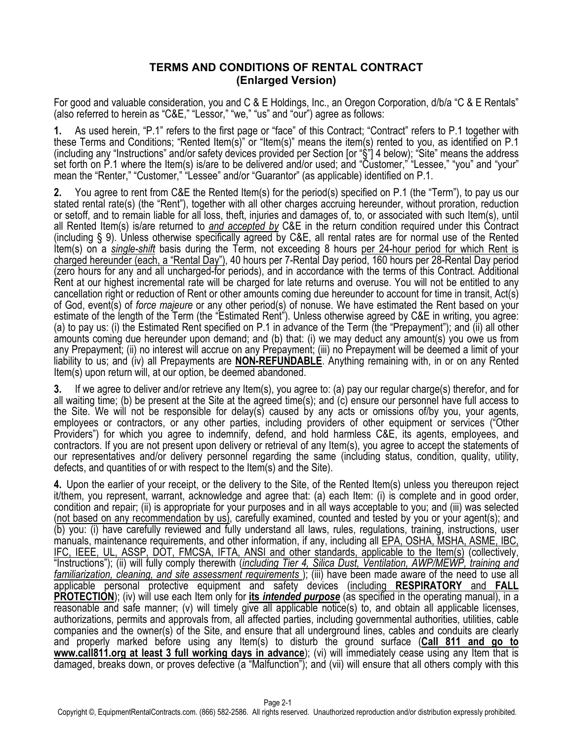## **TERMS AND CONDITIONS OF RENTAL CONTRACT (Enlarged Version)**

For good and valuable consideration, you and C & E Holdings, Inc., an Oregon Corporation, d/b/a "C & E Rentals" (also referred to herein as "C&E," "Lessor," "we," "us" and "our") agree as follows:

**1.** As used herein, "P.1" refers to the first page or "face" of this Contract; "Contract" refers to P.1 together with these Terms and Conditions; "Rented Item(s)" or "Item(s)" means the item(s) rented to you, as identified on P.1 (including any "Instructions" and/or safety devices provided per Section [or "§"] 4 below); "Site" means the address set forth on P.1 where the Item(s) is/are to be delivered and/or used; and "Customer," "Lessee," "you" and "your" mean the "Renter," "Customer," "Lessee" and/or "Guarantor" (as applicable) identified on P.1.

**2.** You agree to rent from C&E the Rented Item(s) for the period(s) specified on P.1 (the "Term"), to pay us our stated rental rate(s) (the "Rent"), together with all other charges accruing hereunder, without proration, reduction or setoff, and to remain liable for all loss, theft, injuries and damages of, to, or associated with such Item(s), until all Rented Item(s) is/are returned to *and accepted by* C&E in the return condition required under this Contract (including § 9). Unless otherwise specifically agreed by C&E, all rental rates are for normal use of the Rented Item(s) on a *single-shift* basis during the Term, not exceeding 8 hours per 24-hour period for which Rent is charged hereunder (each, a "Rental Day"), 40 hours per 7-Rental Day period, 160 hours per 28-Rental Day period (zero hours for any and all uncharged-for periods), and in accordance with the terms of this Contract. Additional Rent at our highest incremental rate will be charged for late returns and overuse. You will not be entitled to any cancellation right or reduction of Rent or other amounts coming due hereunder to account for time in transit, Act(s) of God, event(s) of *force majeure* or any other period(s) of nonuse. We have estimated the Rent based on your estimate of the length of the Term (the "Estimated Rent"). Unless otherwise agreed by C&E in writing, you agree: (a) to pay us: (i) the Estimated Rent specified on P.1 in advance of the Term (the "Prepayment"); and (ii) all other amounts coming due hereunder upon demand; and (b) that: (i) we may deduct any amount(s) you owe us from any Prepayment; (ii) no interest will accrue on any Prepayment; (iii) no Prepayment will be deemed a limit of your liability to us; and (iv) all Prepayments are **NON-REFUNDABLE**. Anything remaining with, in or on any Rented Item(s) upon return will, at our option, be deemed abandoned.

**3.** If we agree to deliver and/or retrieve any Item(s), you agree to: (a) pay our regular charge(s) therefor, and for all waiting time; (b) be present at the Site at the agreed time(s); and (c) ensure our personnel have full access to the Site. We will not be responsible for delay(s) caused by any acts or omissions of/by you, your agents, employees or contractors, or any other parties, including providers of other equipment or services ("Other Providers") for which you agree to indemnify, defend, and hold harmless C&E, its agents, employees, and contractors. If you are not present upon delivery or retrieval of any Item(s), you agree to accept the statements of our representatives and/or delivery personnel regarding the same (including status, condition, quality, utility, defects, and quantities of or with respect to the Item(s) and the Site).

**4.** Upon the earlier of your receipt, or the delivery to the Site, of the Rented Item(s) unless you thereupon reject it/them, you represent, warrant, acknowledge and agree that: (a) each Item: (i) is complete and in good order, condition and repair; (ii) is appropriate for your purposes and in all ways acceptable to you; and (iii) was selected (not based on any recommendation by us), carefully examined, counted and tested by you or your agent(s); and (b) you: (i) have carefully reviewed and fully understand all laws, rules, regulations, training, instructions, user manuals, maintenance requirements, and other information, if any, including all EPA, OSHA, MSHA, ASME, IBC, IFC, IEEE, UL, ASSP, DOT, FMCSA, IFTA, ANSI and other standards, applicable to the Item(s) (collectively, "Instructions"); (ii) will fully comply therewith (*including Tier 4, Silica Dust, Ventilation, AWP/MEWP, training and familiarization, cleaning, and site assessment requirements* ); (iii) have been made aware of the need to use all applicable personal protective equipment and safety devices (including **RESPIRATORY** and **FALL PROTECTION**); (iv) will use each Item only for **its** *intended purpose* (as specified in the operating manual), in a reasonable and safe manner; (v) will timely give all applicable notice(s) to, and obtain all applicable licenses, authorizations, permits and approvals from, all affected parties, including governmental authorities, utilities, cable companies and the owner(s) of the Site, and ensure that all underground lines, cables and conduits are clearly and properly marked before using any Item(s) to disturb the ground surface (**Call 811 and go to www.call811.org at least 3 full working days in advance**); (vi) will immediately cease using any Item that is damaged, breaks down, or proves defective (a "Malfunction"); and (vii) will ensure that all others comply with this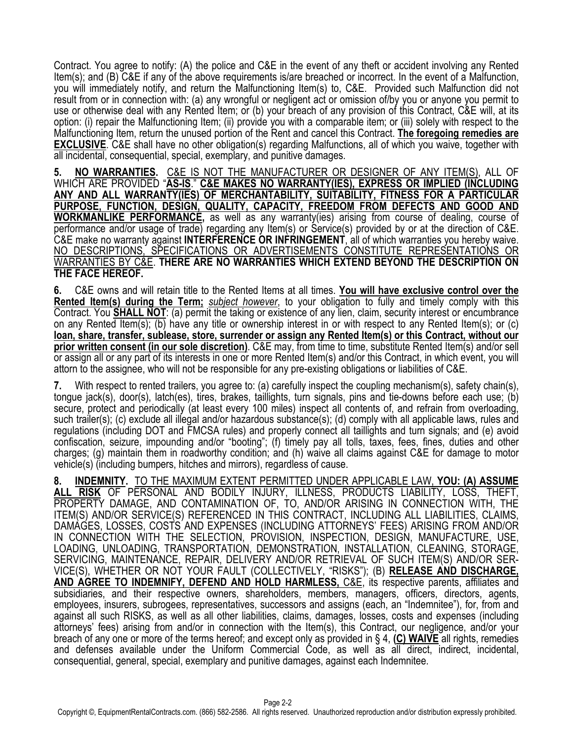Contract. You agree to notify: (A) the police and C&E in the event of any theft or accident involving any Rented Item(s); and (B) C&E if any of the above requirements is/are breached or incorrect. In the event of a Malfunction, you will immediately notify, and return the Malfunctioning Item(s) to, C&E. Provided such Malfunction did not result from or in connection with: (a) any wrongful or negligent act or omission of/by you or anyone you permit to use or otherwise deal with any Rented Item; or (b) your breach of any provision of this Contract, C&E will, at its option: (i) repair the Malfunctioning Item; (ii) provide you with a comparable item; or (iii) solely with respect to the Malfunctioning Item, return the unused portion of the Rent and cancel this Contract. **The foregoing remedies are EXCLUSIVE**. C&E shall have no other obligation(s) regarding Malfunctions, all of which you waive, together with all incidental, consequential, special, exemplary, and punitive damages.

**5. NO WARRANTIES.** C&E IS NOT THE MANUFACTURER OR DESIGNER OF ANY ITEM(S), ALL OF WHICH ARE PROVIDED "**AS-IS**." **C&E MAKES NO WARRANTY(IES), EXPRESS OR IMPLIED (INCLUDING ANY AND ALL WARRANTY(IES) OF MERCHANTABILITY, SUITABILITY, FITNESS FOR A PARTICULAR PURPOSE, FUNCTION, DESIGN, QUALITY, CAPACITY, FREEDOM FROM DEFECTS AND GOOD AND WORKMANLIKE PERFORMANCE,** as well as any warranty(ies) arising from course of dealing, course of performance and/or usage of trade) regarding any Item(s) or Service(s) provided by or at the direction of C&E. C&E make no warranty against **INTERFERENCE OR INFRINGEMENT**, all of which warranties you hereby waive. NO DESCRIPTIONS, SPECIFICATIONS OR ADVERTISEMENTS CONSTITUTE REPRESENTATIONS OR WARRANTIES BY C&E. **THERE ARE NO WARRANTIES WHICH EXTEND BEYOND THE DESCRIPTION ON THE FACE HEREOF.**

**6.** C&E owns and will retain title to the Rented Items at all times. **You will have exclusive control over the Rented Item(s) during the Term;** *subject however*, to your obligation to fully and timely comply with this Contract. You **SHALL NOT**: (a) permit the taking or existence of any lien, claim, security interest or encumbrance on any Rented Item(s); (b) have any title or ownership interest in or with respect to any Rented Item(s); or (c) **loan, share, transfer, sublease, store, surrender or assign any Rented Item(s) or this Contract, without our prior written consent (in our sole discretion)**. C&E may, from time to time, substitute Rented Item(s) and/or sell or assign all or any part of its interests in one or more Rented Item(s) and/or this Contract, in which event, you will attorn to the assignee, who will not be responsible for any pre-existing obligations or liabilities of C&E.

**7.** With respect to rented trailers, you agree to: (a) carefully inspect the coupling mechanism(s), safety chain(s), tongue jack(s), door(s), latch(es), tires, brakes, taillights, turn signals, pins and tie-downs before each use; (b) secure, protect and periodically (at least every 100 miles) inspect all contents of, and refrain from overloading, such trailer(s); (c) exclude all illegal and/or hazardous substance(s); (d) comply with all applicable laws, rules and regulations (including DOT and FMCSA rules) and properly connect all taillights and turn signals; and (e) avoid confiscation, seizure, impounding and/or "booting"; (f) timely pay all tolls, taxes, fees, fines, duties and other charges; (g) maintain them in roadworthy condition; and (h) waive all claims against C&E for damage to motor vehicle(s) (including bumpers, hitches and mirrors), regardless of cause.

**8. INDEMNITY.** TO THE MAXIMUM EXTENT PERMITTED UNDER APPLICABLE LAW, **YOU: (A) ASSUME ALL RISK** OF PERSONAL AND BODILY INJURY, ILLNESS, PRODUCTS LIABILITY, LOSS, THEFT, PROPERTY DAMAGE, AND CONTAMINATION OF, TO, AND/OR ARISING IN CONNECTION WITH, THE ITEM(S) AND/OR SERVICE(S) REFERENCED IN THIS CONTRACT, INCLUDING ALL LIABILITIES, CLAIMS, DAMAGES, LOSSES, COSTS AND EXPENSES (INCLUDING ATTORNEYS' FEES) ARISING FROM AND/OR IN CONNECTION WITH THE SELECTION, PROVISION, INSPECTION, DESIGN, MANUFACTURE, USE, LOADING, UNLOADING, TRANSPORTATION, DEMONSTRATION, INSTALLATION, CLEANING, STORAGE, SERVICING, MAINTENANCE, REPAIR, DELIVERY AND/OR RETRIEVAL OF SUCH ITEM(S) AND/OR SER-VICE(S), WHETHER OR NOT YOUR FAULT (COLLECTIVELY, "RISKS"); (B) **RELEASE AND DISCHARGE,**  AND AGREE TO INDEMNIFY, DEFEND AND HOLD HARMLESS, C&E, its respective parents, affiliates and subsidiaries, and their respective owners, shareholders, members, managers, officers, directors, agents, employees, insurers, subrogees, representatives, successors and assigns (each, an "Indemnitee"), for, from and against all such RISKS, as well as all other liabilities, claims, damages, losses, costs and expenses (including attorneys' fees) arising from and/or in connection with the Item(s), this Contract, our negligence, and/or your breach of any one or more of the terms hereof; and except only as provided in § 4, **(C) WAIVE** all rights, remedies and defenses available under the Uniform Commercial Code, as well as all direct, indirect, incidental, consequential, general, special, exemplary and punitive damages, against each Indemnitee.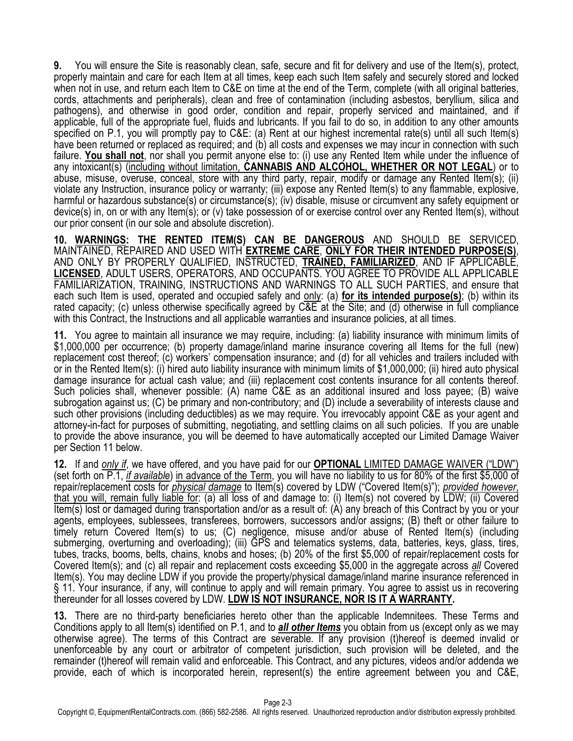9. You will ensure the Site is reasonably clean, safe, secure and fit for delivery and use of the Item(s), protect,<br>properly maintain and care for each Item at all times, keep each such Item safely and securely stored and when not in use, and return each Item to C&E on time at the end of the Term, complete (with all original batteries, cords, attachments and peripherals), clean and free of contamination (including asbestos, beryllium, silica and pathogens), and otherwise in good order, condition and repair, properly serviced and maintained, and if applicable, full of the appropriate fuel, fluids and lubricants. If you fail to do so, in addition to any other amounts specified on P.1, you will promptly pay to C&E: (a) Rent at our highest incremental rate(s) until all such Item(s) have been returned or replaced as required; and (b) all costs and expenses we may incur in connection with such failure. **You shall not**, nor shall you permit anyone else to: (i) use any Rented Item while under the influence of any intoxicant(s) (including without limitation, **CANNABIS AND ALCOHOL, WHETHER OR NOT LEGAL**) or to abuse, misuse, overuse, conceal, store with any third party, repair, modify or damage any Rented Item(s); (ii) violate any Instruction, insurance policy or warranty; (iii) expose any Rented Item(s) to any flammable, explosive, harmful or hazardous substance(s) or circumstance(s); (iv) disable, misuse or circumvent any safety equipment or device(s) in, on or with any Item(s); or (v) take possession of or exercise control over any Rented Item(s), without our prior consent (in our sole and absolute discretion).

**10. WARNINGS: THE RENTED ITEM(S) CAN BE DANGEROUS** AND SHOULD BE SERVICED, MAINTAINED, REPAIRED AND USED WITH **EXTREME CARE**, **ONLY FOR THEIR INTENDED PURPOSE(S)**, AND ONLY BY PROPERLY QUALIFIED, INSTRUCTED, **TRAINED, FAMILIARIZED**, AND IF APPLICABLE, **LICENSED**, ADULT USERS, OPERATORS, AND OCCUPANTS. YOU AGREE TO PROVIDE ALL APPLICABLE FAMILIARIZATION, TRAINING, INSTRUCTIONS AND WARNINGS TO ALL SUCH PARTIES, and ensure that each such Item is used, operated and occupied safely and only: (a) **for its intended purpose(s)**; (b) within its rated capacity; (c) unless otherwise specifically agreed by C&E at the Site; and (d) otherwise in full compliance with this Contract, the Instructions and all applicable warranties and insurance policies, at all times.

**11.** You agree to maintain all insurance we may require, including: (a) liability insurance with minimum limits of \$1,000,000 per occurrence; (b) property damage/inland marine insurance covering all Items for the full (new) replacement cost thereof; (c) workers' compensation insurance; and (d) for all vehicles and trailers included with or in the Rented Item(s): (i) hired auto liability insurance with minimum limits of \$1,000,000; (ii) hired auto physical damage insurance for actual cash value; and (iii) replacement cost contents insurance for all contents thereof. Such policies shall, whenever possible: (A) name C&E as an additional insured and loss payee; (B) waive subrogation against us; (C) be primary and non-contributory; and (D) include a severability of interests clause and such other provisions (including deductibles) as we may require. You irrevocably appoint C&E as your agent and attorney-in-fact for purposes of submitting, negotiating, and settling claims on all such policies. If you are unable to provide the above insurance, you will be deemed to have automatically accepted our Limited Damage Waiver per Section 11 below.

**12.** If and *only if*, we have offered, and you have paid for our **OPTIONAL** LIMITED DAMAGE WAIVER ("LDW") (set forth on P.1, *if available*) in advance of the Term, you will have no liability to us for 80% of the first \$5,000 of repair/replacement costs for *physical damage* to Item(s) covered by LDW ("Covered Item(s)"); *provided however*, that you will, remain fully liable for: (a) all loss of and damage to: (i) Item(s) not covered by LDW; (ii) Covered Item(s) lost or damaged during transportation and/or as a result of: (A) any breach of this Contract by you or your agents, employees, sublessees, transferees, borrowers, successors and/or assigns; (B) theft or other failure to timely return Covered Item(s) to us; (C) negligence, misuse and/or abuse of Rented Item(s) (including submerging, overturning and overloading); (iii) GPS and telematics systems, data, batteries, keys, glass, tires, tubes, tracks, booms, belts, chains, knobs and hoses; (b) 20% of the first \$5,000 of repair/replacement costs for Covered Item(s); and (c) all repair and replacement costs exceeding \$5,000 in the aggregate across *all* Covered Item(s). You may decline LDW if you provide the property/physical damage/inland marine insurance referenced in § 11. Your insurance, if any, will continue to apply and will remain primary. You agree to assist us in recovering thereunder for all losses covered by LDW. **LDW IS NOT INSURANCE, NOR IS IT A WARRANTY.**

**13.** There are no third-party beneficiaries hereto other than the applicable Indemnitees. These Terms and Conditions apply to all Item(s) identified on P.1, and to *all other Items* you obtain from us (except only as we may otherwise agree). The terms of this Contract are severable. If any provision (t)hereof is deemed invalid or unenforceable by any court or arbitrator of competent jurisdiction, such provision will be deleted, and the remainder (t)hereof will remain valid and enforceable. This Contract, and any pictures, videos and/or addenda we provide, each of which is incorporated herein, represent(s) the entire agreement between you and C&E,